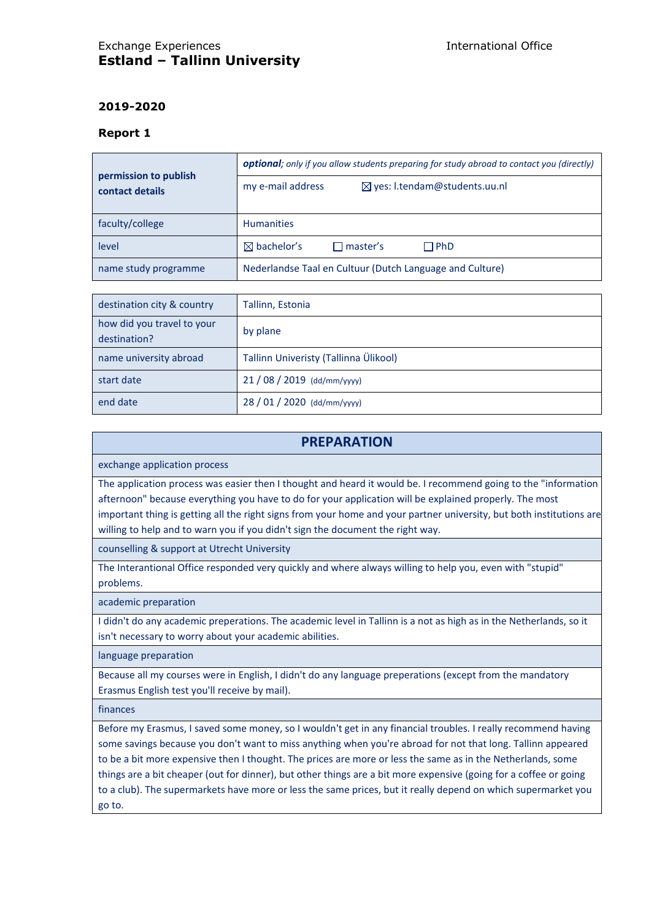# Exchange Experiences International Office **Estland – Tallinn University**

## **2019-2020**

#### **Report 1**

| permission to publish<br>contact details | optional; only if you allow students preparing for study abroad to contact you (directly) |  |  |
|------------------------------------------|-------------------------------------------------------------------------------------------|--|--|
|                                          | my e-mail address<br>$\boxtimes$ yes: l.tendam@students.uu.nl                             |  |  |
| faculty/college                          | <b>Humanities</b>                                                                         |  |  |
| level                                    | $\boxtimes$ bachelor's<br>$\square$ master's<br>$\Box$ PhD                                |  |  |
| name study programme                     | Nederlandse Taal en Cultuur (Dutch Language and Culture)                                  |  |  |

| destination city & country                 | Tallinn, Estonia                      |
|--------------------------------------------|---------------------------------------|
| how did you travel to your<br>destination? | by plane                              |
| name university abroad                     | Tallinn Univeristy (Tallinna Ülikool) |
| start date                                 | 21 / 08 / 2019 (dd/mm/yyyy)           |
| end date                                   | 28 / 01 / 2020 (dd/mm/yyyy)           |

## **PREPARATION**

exchange application process

The application process was easier then I thought and heard it would be. I recommend going to the "information afternoon" because everything you have to do for your application will be explained properly. The most important thing is getting all the right signs from your home and your partner university, but both institutions are willing to help and to warn you if you didn't sign the document the right way.

counselling & support at Utrecht University

The Interantional Office responded very quickly and where always willing to help you, even with "stupid" problems.

academic preparation

I didn't do any academic preperations. The academic level in Tallinn is a not as high as in the Netherlands, so it isn't necessary to worry about your academic abilities.

language preparation

Because all my courses were in English, I didn't do any language preperations (except from the mandatory Erasmus English test you'll receive by mail).

finances

Before my Erasmus, I saved some money, so I wouldn't get in any financial troubles. I really recommend having some savings because you don't want to miss anything when you're abroad for not that long. Tallinn appeared to be a bit more expensive then I thought. The prices are more or less the same as in the Netherlands, some things are a bit cheaper (out for dinner), but other things are a bit more expensive (going for a coffee or going to a club). The supermarkets have more or less the same prices, but it really depend on which supermarket you go to.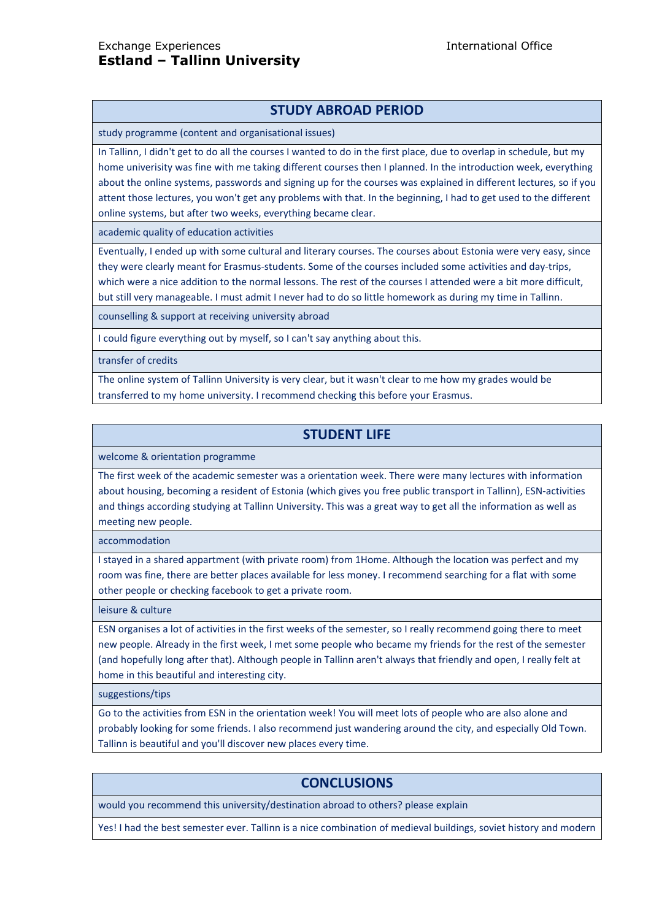# **STUDY ABROAD PERIOD**

study programme (content and organisational issues)

In Tallinn, I didn't get to do all the courses I wanted to do in the first place, due to overlap in schedule, but my home univerisity was fine with me taking different courses then I planned. In the introduction week, everything about the online systems, passwords and signing up for the courses was explained in different lectures, so if you attent those lectures, you won't get any problems with that. In the beginning, I had to get used to the different online systems, but after two weeks, everything became clear.

academic quality of education activities

Eventually, I ended up with some cultural and literary courses. The courses about Estonia were very easy, since they were clearly meant for Erasmus-students. Some of the courses included some activities and day-trips, which were a nice addition to the normal lessons. The rest of the courses I attended were a bit more difficult, but still very manageable. I must admit I never had to do so little homework as during my time in Tallinn.

counselling & support at receiving university abroad

I could figure everything out by myself, so I can't say anything about this.

transfer of credits

The online system of Tallinn University is very clear, but it wasn't clear to me how my grades would be transferred to my home university. I recommend checking this before your Erasmus.

# **STUDENT LIFE**

welcome & orientation programme

The first week of the academic semester was a orientation week. There were many lectures with information about housing, becoming a resident of Estonia (which gives you free public transport in Tallinn), ESN-activities and things according studying at Tallinn University. This was a great way to get all the information as well as meeting new people.

accommodation

I stayed in a shared appartment (with private room) from 1Home. Although the location was perfect and my room was fine, there are better places available for less money. I recommend searching for a flat with some other people or checking facebook to get a private room.

leisure & culture

ESN organises a lot of activities in the first weeks of the semester, so I really recommend going there to meet new people. Already in the first week, I met some people who became my friends for the rest of the semester (and hopefully long after that). Although people in Tallinn aren't always that friendly and open, I really felt at home in this beautiful and interesting city.

suggestions/tips

Go to the activities from ESN in the orientation week! You will meet lots of people who are also alone and probably looking for some friends. I also recommend just wandering around the city, and especially Old Town. Tallinn is beautiful and you'll discover new places every time.

# **CONCLUSIONS**

would you recommend this university/destination abroad to others? please explain

Yes! I had the best semester ever. Tallinn is a nice combination of medieval buildings, soviet history and modern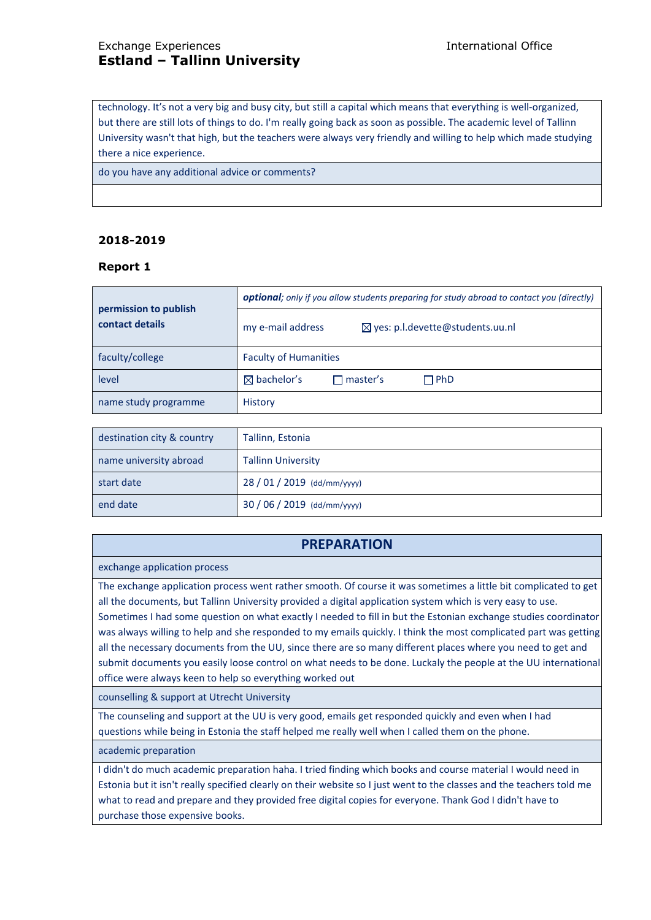# Exchange Experiences International Office **Estland – Tallinn University**

technology. It's not a very big and busy city, but still a capital which means that everything is well-organized, but there are still lots of things to do. I'm really going back as soon as possible. The academic level of Tallinn University wasn't that high, but the teachers were always very friendly and willing to help which made studying there a nice experience.

do you have any additional advice or comments?

## **2018-2019**

#### **Report 1**

| permission to publish<br>contact details | optional; only if you allow students preparing for study abroad to contact you (directly) |  |  |
|------------------------------------------|-------------------------------------------------------------------------------------------|--|--|
|                                          | my e-mail address<br>⊠ yes: p.l.devette@students.uu.nl                                    |  |  |
| faculty/college                          | <b>Faculty of Humanities</b>                                                              |  |  |
| level                                    | $\boxtimes$ bachelor's<br>$\sqcap$ PhD<br>$\sqcap$ master's                               |  |  |
| name study programme                     | <b>History</b>                                                                            |  |  |

| destination city & country | Tallinn, Estonia            |
|----------------------------|-----------------------------|
| name university abroad     | <b>Tallinn University</b>   |
| start date                 | $28/01/2019$ (dd/mm/yyyy)   |
| end date                   | 30 / 06 / 2019 (dd/mm/yyyy) |

# **PREPARATION**

exchange application process

The exchange application process went rather smooth. Of course it was sometimes a little bit complicated to get all the documents, but Tallinn University provided a digital application system which is very easy to use. Sometimes I had some question on what exactly I needed to fill in but the Estonian exchange studies coordinator was always willing to help and she responded to my emails quickly. I think the most complicated part was getting all the necessary documents from the UU, since there are so many different places where you need to get and submit documents you easily loose control on what needs to be done. Luckaly the people at the UU international office were always keen to help so everything worked out

counselling & support at Utrecht University

The counseling and support at the UU is very good, emails get responded quickly and even when I had questions while being in Estonia the staff helped me really well when I called them on the phone.

academic preparation

I didn't do much academic preparation haha. I tried finding which books and course material I would need in Estonia but it isn't really specified clearly on their website so I just went to the classes and the teachers told me what to read and prepare and they provided free digital copies for everyone. Thank God I didn't have to purchase those expensive books.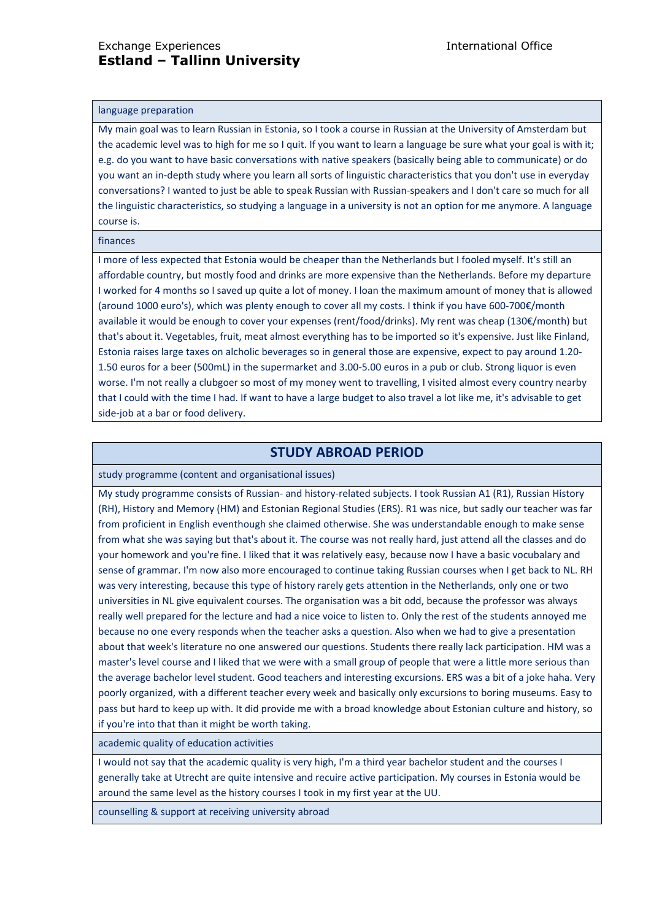#### language preparation

My main goal was to learn Russian in Estonia, so I took a course in Russian at the University of Amsterdam but the academic level was to high for me so I quit. If you want to learn a language be sure what your goal is with it; e.g. do you want to have basic conversations with native speakers (basically being able to communicate) or do you want an in-depth study where you learn all sorts of linguistic characteristics that you don't use in everyday conversations? I wanted to just be able to speak Russian with Russian-speakers and I don't care so much for all the linguistic characteristics, so studying a language in a university is not an option for me anymore. A language course is.

#### finances

I more of less expected that Estonia would be cheaper than the Netherlands but I fooled myself. It's still an affordable country, but mostly food and drinks are more expensive than the Netherlands. Before my departure I worked for 4 months so I saved up quite a lot of money. I loan the maximum amount of money that is allowed (around 1000 euro's), which was plenty enough to cover all my costs. I think if you have 600-700€/month available it would be enough to cover your expenses (rent/food/drinks). My rent was cheap (130€/month) but that's about it. Vegetables, fruit, meat almost everything has to be imported so it's expensive. Just like Finland, Estonia raises large taxes on alcholic beverages so in general those are expensive, expect to pay around 1.20- 1.50 euros for a beer (500mL) in the supermarket and 3.00-5.00 euros in a pub or club. Strong liquor is even worse. I'm not really a clubgoer so most of my money went to travelling, I visited almost every country nearby that I could with the time I had. If want to have a large budget to also travel a lot like me, it's advisable to get side-job at a bar or food delivery.

## **STUDY ABROAD PERIOD**

study programme (content and organisational issues)

My study programme consists of Russian- and history-related subjects. I took Russian A1 (R1), Russian History (RH), History and Memory (HM) and Estonian Regional Studies (ERS). R1 was nice, but sadly our teacher was far from proficient in English eventhough she claimed otherwise. She was understandable enough to make sense from what she was saying but that's about it. The course was not really hard, just attend all the classes and do your homework and you're fine. I liked that it was relatively easy, because now I have a basic vocubalary and sense of grammar. I'm now also more encouraged to continue taking Russian courses when I get back to NL. RH was very interesting, because this type of history rarely gets attention in the Netherlands, only one or two universities in NL give equivalent courses. The organisation was a bit odd, because the professor was always really well prepared for the lecture and had a nice voice to listen to. Only the rest of the students annoyed me because no one every responds when the teacher asks a question. Also when we had to give a presentation about that week's literature no one answered our questions. Students there really lack participation. HM was a master's level course and I liked that we were with a small group of people that were a little more serious than the average bachelor level student. Good teachers and interesting excursions. ERS was a bit of a joke haha. Very poorly organized, with a different teacher every week and basically only excursions to boring museums. Easy to pass but hard to keep up with. It did provide me with a broad knowledge about Estonian culture and history, so if you're into that than it might be worth taking.

academic quality of education activities

I would not say that the academic quality is very high, I'm a third year bachelor student and the courses I generally take at Utrecht are quite intensive and recuire active participation. My courses in Estonia would be around the same level as the history courses I took in my first year at the UU.

counselling & support at receiving university abroad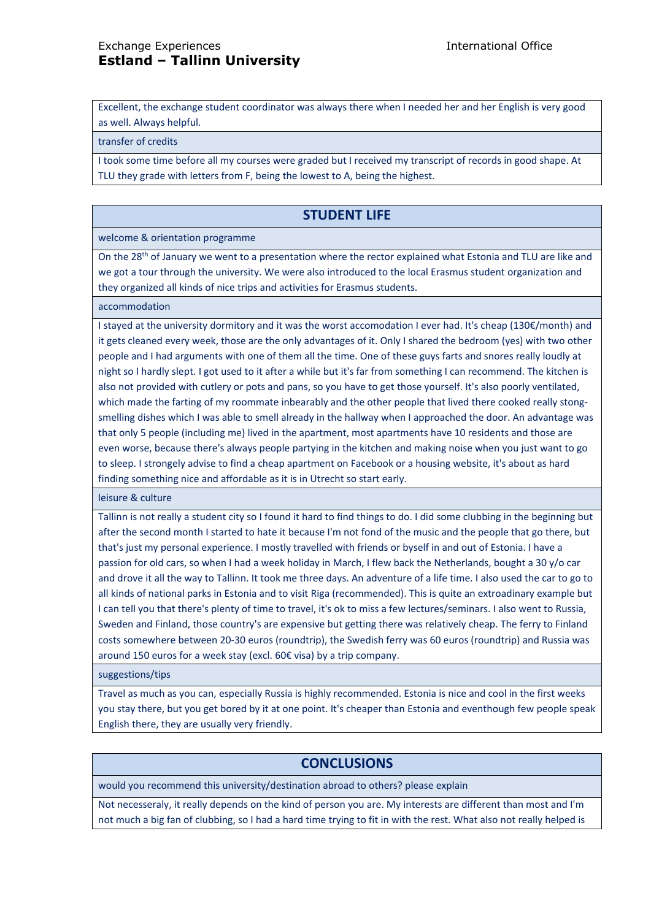Excellent, the exchange student coordinator was always there when I needed her and her English is very good as well. Always helpful.

#### transfer of credits

I took some time before all my courses were graded but I received my transcript of records in good shape. At TLU they grade with letters from F, being the lowest to A, being the highest.

## **STUDENT LIFE**

#### welcome & orientation programme

On the 28<sup>th</sup> of January we went to a presentation where the rector explained what Estonia and TLU are like and we got a tour through the university. We were also introduced to the local Erasmus student organization and they organized all kinds of nice trips and activities for Erasmus students.

#### accommodation

I stayed at the university dormitory and it was the worst accomodation I ever had. It's cheap (130€/month) and it gets cleaned every week, those are the only advantages of it. Only I shared the bedroom (yes) with two other people and I had arguments with one of them all the time. One of these guys farts and snores really loudly at night so I hardly slept. I got used to it after a while but it's far from something I can recommend. The kitchen is also not provided with cutlery or pots and pans, so you have to get those yourself. It's also poorly ventilated, which made the farting of my roommate inbearably and the other people that lived there cooked really stongsmelling dishes which I was able to smell already in the hallway when I approached the door. An advantage was that only 5 people (including me) lived in the apartment, most apartments have 10 residents and those are even worse, because there's always people partying in the kitchen and making noise when you just want to go to sleep. I strongely advise to find a cheap apartment on Facebook or a housing website, it's about as hard finding something nice and affordable as it is in Utrecht so start early.

leisure & culture

Tallinn is not really a student city so I found it hard to find things to do. I did some clubbing in the beginning but after the second month I started to hate it because I'm not fond of the music and the people that go there, but that's just my personal experience. I mostly travelled with friends or byself in and out of Estonia. I have a passion for old cars, so when I had a week holiday in March, I flew back the Netherlands, bought a 30 y/o car and drove it all the way to Tallinn. It took me three days. An adventure of a life time. I also used the car to go to all kinds of national parks in Estonia and to visit Riga (recommended). This is quite an extroadinary example but I can tell you that there's plenty of time to travel, it's ok to miss a few lectures/seminars. I also went to Russia, Sweden and Finland, those country's are expensive but getting there was relatively cheap. The ferry to Finland costs somewhere between 20-30 euros (roundtrip), the Swedish ferry was 60 euros (roundtrip) and Russia was around 150 euros for a week stay (excl. 60€ visa) by a trip company.

suggestions/tips

Travel as much as you can, especially Russia is highly recommended. Estonia is nice and cool in the first weeks you stay there, but you get bored by it at one point. It's cheaper than Estonia and eventhough few people speak English there, they are usually very friendly.

## **CONCLUSIONS**

would you recommend this university/destination abroad to others? please explain

Not necesseraly, it really depends on the kind of person you are. My interests are different than most and I'm not much a big fan of clubbing, so I had a hard time trying to fit in with the rest. What also not really helped is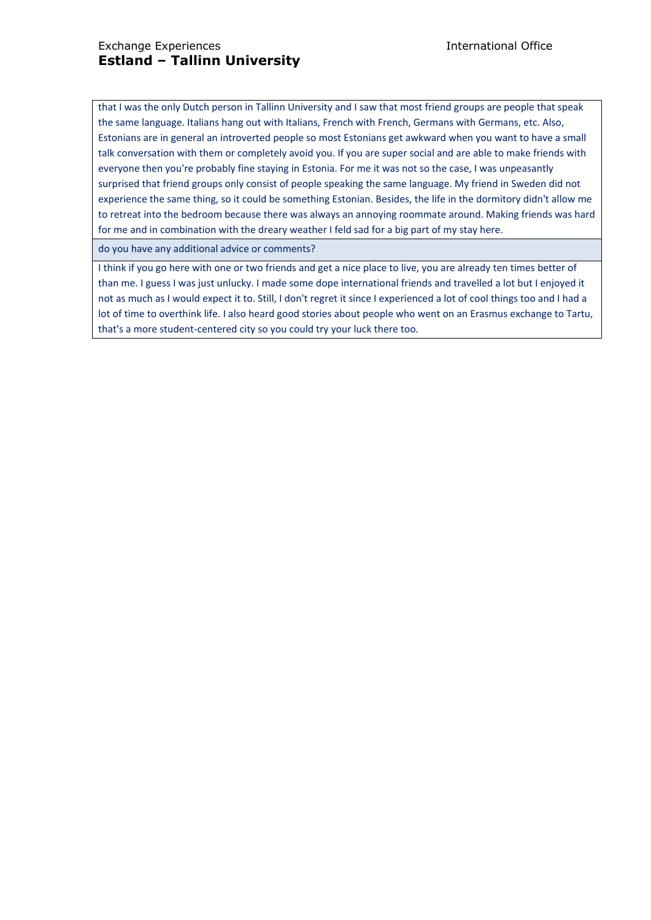that I was the only Dutch person in Tallinn University and I saw that most friend groups are people that speak the same language. Italians hang out with Italians, French with French, Germans with Germans, etc. Also, Estonians are in general an introverted people so most Estonians get awkward when you want to have a small talk conversation with them or completely avoid you. If you are super social and are able to make friends with everyone then you're probably fine staying in Estonia. For me it was not so the case, I was unpeasantly surprised that friend groups only consist of people speaking the same language. My friend in Sweden did not experience the same thing, so it could be something Estonian. Besides, the life in the dormitory didn't allow me to retreat into the bedroom because there was always an annoying roommate around. Making friends was hard for me and in combination with the dreary weather I feld sad for a big part of my stay here.

do you have any additional advice or comments?

I think if you go here with one or two friends and get a nice place to live, you are already ten times better of than me. I guess I was just unlucky. I made some dope international friends and travelled a lot but I enjoyed it not as much as I would expect it to. Still, I don't regret it since I experienced a lot of cool things too and I had a lot of time to overthink life. I also heard good stories about people who went on an Erasmus exchange to Tartu, that's a more student-centered city so you could try your luck there too.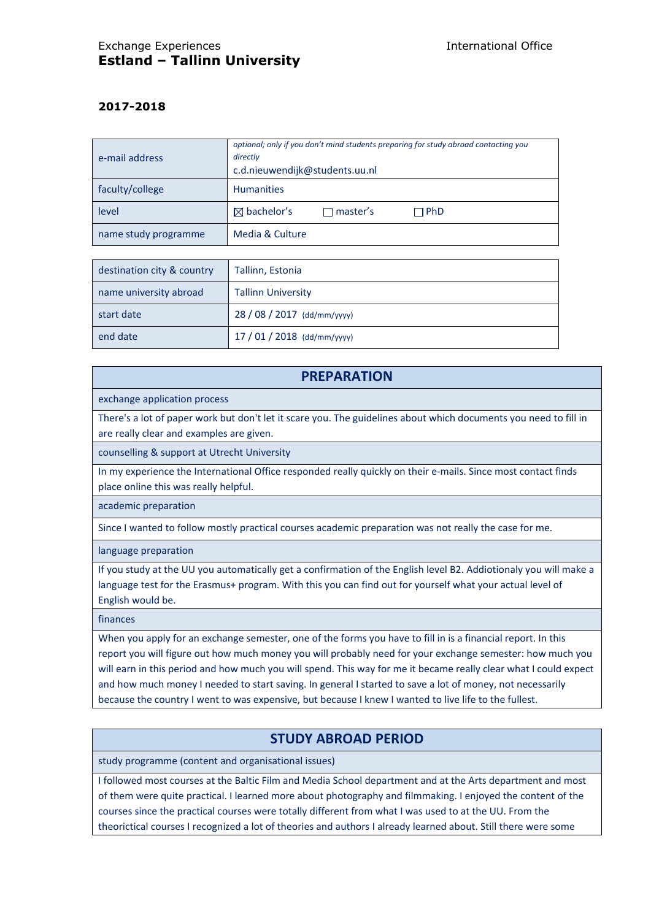## **2017-2018**

| e-mail address       | optional; only if you don't mind students preparing for study abroad contacting you<br>directly<br>c.d.nieuwendijk@students.uu.nl |  |  |
|----------------------|-----------------------------------------------------------------------------------------------------------------------------------|--|--|
| faculty/college      | <b>Humanities</b>                                                                                                                 |  |  |
| level                | $\boxtimes$ bachelor's<br>$\Box$ PhD<br>$\Box$ master's                                                                           |  |  |
| name study programme | Media & Culture                                                                                                                   |  |  |

| destination city & country | Tallinn, Estonia            |
|----------------------------|-----------------------------|
| name university abroad     | <b>Tallinn University</b>   |
| start date                 | 28 / 08 / 2017 (dd/mm/yyyy) |
| end date                   | $17/01/2018$ (dd/mm/yyyy)   |

## **PREPARATION**

exchange application process

There's a lot of paper work but don't let it scare you. The guidelines about which documents you need to fill in are really clear and examples are given.

counselling & support at Utrecht University

In my experience the International Office responded really quickly on their e-mails. Since most contact finds place online this was really helpful.

academic preparation

Since I wanted to follow mostly practical courses academic preparation was not really the case for me.

language preparation

If you study at the UU you automatically get a confirmation of the English level B2. Addiotionaly you will make a language test for the Erasmus+ program. With this you can find out for yourself what your actual level of English would be.

finances

When you apply for an exchange semester, one of the forms you have to fill in is a financial report. In this report you will figure out how much money you will probably need for your exchange semester: how much you will earn in this period and how much you will spend. This way for me it became really clear what I could expect and how much money I needed to start saving. In general I started to save a lot of money, not necessarily because the country I went to was expensive, but because I knew I wanted to live life to the fullest.

# **STUDY ABROAD PERIOD**

study programme (content and organisational issues)

I followed most courses at the Baltic Film and Media School department and at the Arts department and most of them were quite practical. I learned more about photography and filmmaking. I enjoyed the content of the courses since the practical courses were totally different from what I was used to at the UU. From the theorictical courses I recognized a lot of theories and authors I already learned about. Still there were some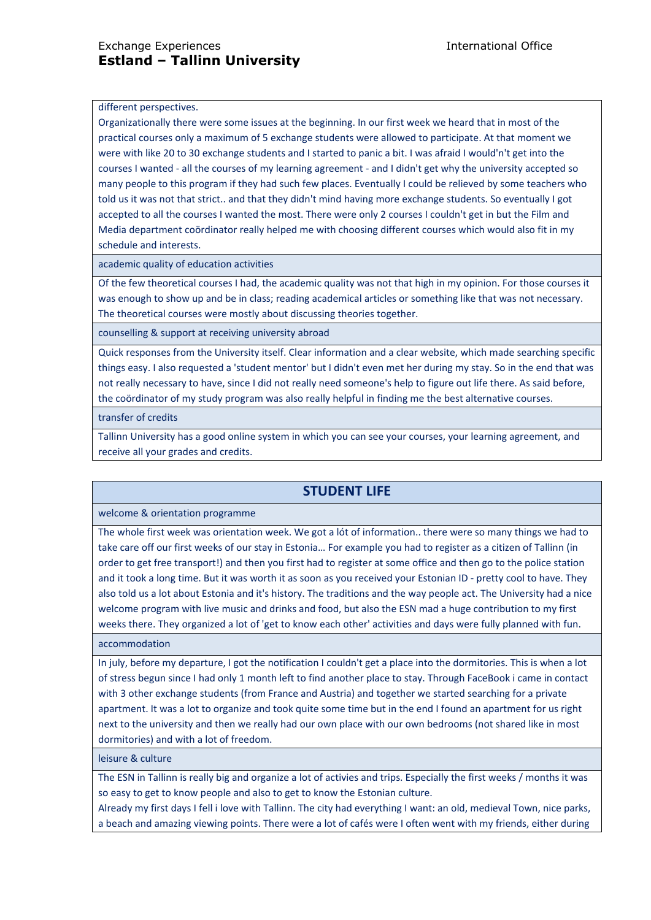#### different perspectives.

Organizationally there were some issues at the beginning. In our first week we heard that in most of the practical courses only a maximum of 5 exchange students were allowed to participate. At that moment we were with like 20 to 30 exchange students and I started to panic a bit. I was afraid I would'n't get into the courses I wanted - all the courses of my learning agreement - and I didn't get why the university accepted so many people to this program if they had such few places. Eventually I could be relieved by some teachers who told us it was not that strict.. and that they didn't mind having more exchange students. So eventually I got accepted to all the courses I wanted the most. There were only 2 courses I couldn't get in but the Film and Media department coördinator really helped me with choosing different courses which would also fit in my schedule and interests.

academic quality of education activities

Of the few theoretical courses I had, the academic quality was not that high in my opinion. For those courses it was enough to show up and be in class; reading academical articles or something like that was not necessary. The theoretical courses were mostly about discussing theories together.

counselling & support at receiving university abroad

Quick responses from the University itself. Clear information and a clear website, which made searching specific things easy. I also requested a 'student mentor' but I didn't even met her during my stay. So in the end that was not really necessary to have, since I did not really need someone's help to figure out life there. As said before, the coördinator of my study program was also really helpful in finding me the best alternative courses.

transfer of credits

Tallinn University has a good online system in which you can see your courses, your learning agreement, and receive all your grades and credits.

# **STUDENT LIFE**

welcome & orientation programme

The whole first week was orientation week. We got a lót of information.. there were so many things we had to take care off our first weeks of our stay in Estonia… For example you had to register as a citizen of Tallinn (in order to get free transport!) and then you first had to register at some office and then go to the police station and it took a long time. But it was worth it as soon as you received your Estonian ID - pretty cool to have. They also told us a lot about Estonia and it's history. The traditions and the way people act. The University had a nice welcome program with live music and drinks and food, but also the ESN mad a huge contribution to my first weeks there. They organized a lot of 'get to know each other' activities and days were fully planned with fun.

accommodation

In july, before my departure, I got the notification I couldn't get a place into the dormitories. This is when a lot of stress begun since I had only 1 month left to find another place to stay. Through FaceBook i came in contact with 3 other exchange students (from France and Austria) and together we started searching for a private apartment. It was a lot to organize and took quite some time but in the end I found an apartment for us right next to the university and then we really had our own place with our own bedrooms (not shared like in most dormitories) and with a lot of freedom.

leisure & culture

The ESN in Tallinn is really big and organize a lot of activies and trips. Especially the first weeks / months it was so easy to get to know people and also to get to know the Estonian culture.

Already my first days I fell i love with Tallinn. The city had everything I want: an old, medieval Town, nice parks, a beach and amazing viewing points. There were a lot of cafés were I often went with my friends, either during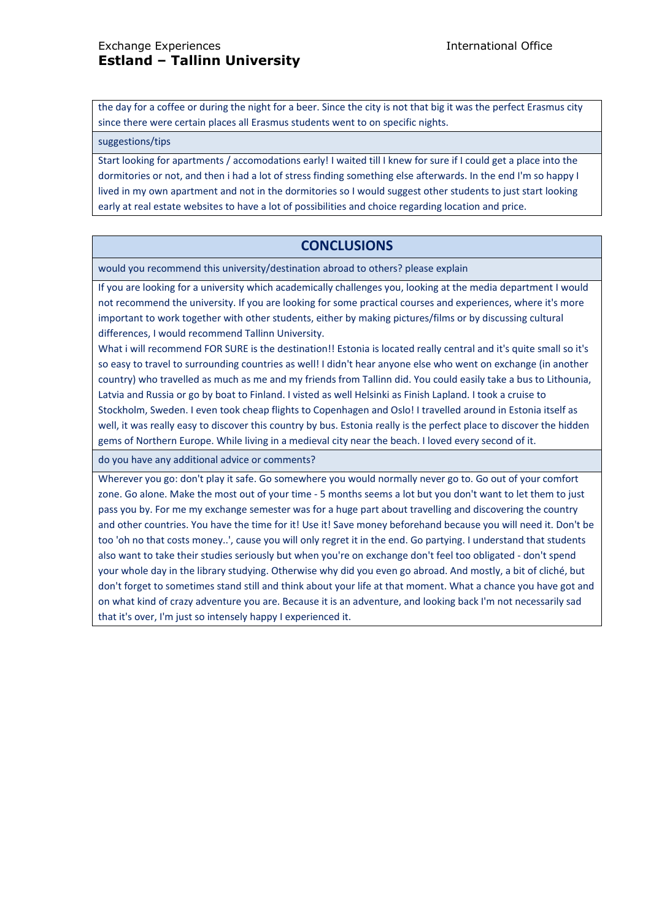the day for a coffee or during the night for a beer. Since the city is not that big it was the perfect Erasmus city since there were certain places all Erasmus students went to on specific nights.

#### suggestions/tips

Start looking for apartments / accomodations early! I waited till I knew for sure if I could get a place into the dormitories or not, and then i had a lot of stress finding something else afterwards. In the end I'm so happy I lived in my own apartment and not in the dormitories so I would suggest other students to just start looking early at real estate websites to have a lot of possibilities and choice regarding location and price.

# **CONCLUSIONS**

would you recommend this university/destination abroad to others? please explain

If you are looking for a university which academically challenges you, looking at the media department I would not recommend the university. If you are looking for some practical courses and experiences, where it's more important to work together with other students, either by making pictures/films or by discussing cultural differences, I would recommend Tallinn University.

What i will recommend FOR SURE is the destination!! Estonia is located really central and it's quite small so it's so easy to travel to surrounding countries as well! I didn't hear anyone else who went on exchange (in another country) who travelled as much as me and my friends from Tallinn did. You could easily take a bus to Lithounia, Latvia and Russia or go by boat to Finland. I visted as well Helsinki as Finish Lapland. I took a cruise to Stockholm, Sweden. I even took cheap flights to Copenhagen and Oslo! I travelled around in Estonia itself as well, it was really easy to discover this country by bus. Estonia really is the perfect place to discover the hidden gems of Northern Europe. While living in a medieval city near the beach. I loved every second of it.

do you have any additional advice or comments?

Wherever you go: don't play it safe. Go somewhere you would normally never go to. Go out of your comfort zone. Go alone. Make the most out of your time - 5 months seems a lot but you don't want to let them to just pass you by. For me my exchange semester was for a huge part about travelling and discovering the country and other countries. You have the time for it! Use it! Save money beforehand because you will need it. Don't be too 'oh no that costs money..', cause you will only regret it in the end. Go partying. I understand that students also want to take their studies seriously but when you're on exchange don't feel too obligated - don't spend your whole day in the library studying. Otherwise why did you even go abroad. And mostly, a bit of cliché, but don't forget to sometimes stand still and think about your life at that moment. What a chance you have got and on what kind of crazy adventure you are. Because it is an adventure, and looking back I'm not necessarily sad that it's over, I'm just so intensely happy I experienced it.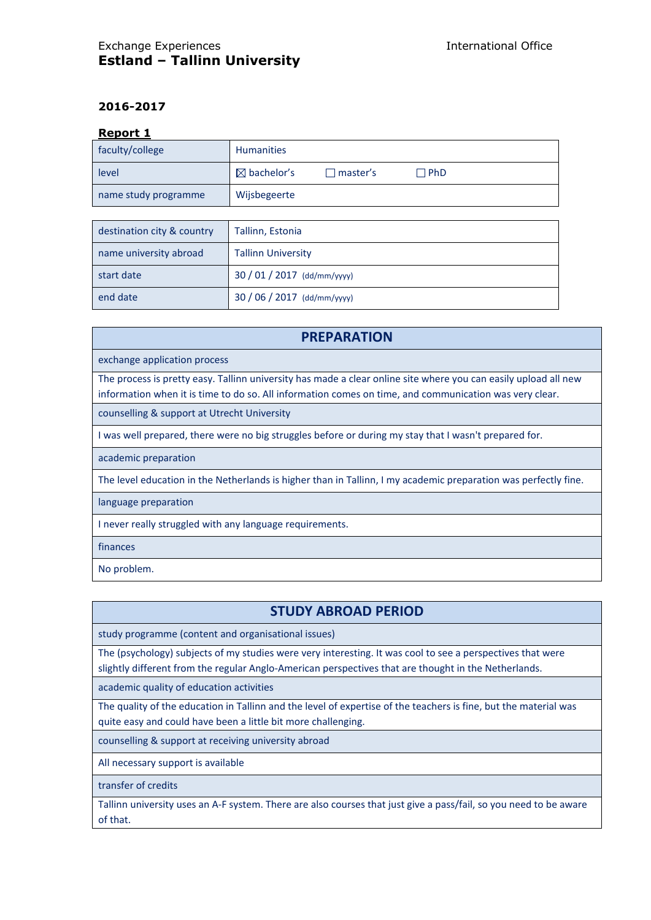## **2016-2017**

#### **Report 1**

| faculty/college      | <b>Humanities</b>      |                 |            |
|----------------------|------------------------|-----------------|------------|
| level                | $\boxtimes$ bachelor's | $\Box$ master's | $\Box$ PhD |
| name study programme | Wijsbegeerte           |                 |            |

| destination city & country | Tallinn, Estonia          |
|----------------------------|---------------------------|
| name university abroad     | <b>Tallinn University</b> |
| start date                 | $30/01/2017$ (dd/mm/yyyy) |
| end date                   | $30/06/2017$ (dd/mm/yyyy) |

# **PREPARATION** exchange application process The process is pretty easy. Tallinn university has made a clear online site where you can easily upload all new information when it is time to do so. All information comes on time, and communication was very clear. counselling & support at Utrecht University I was well prepared, there were no big struggles before or during my stay that I wasn't prepared for. academic preparation The level education in the Netherlands is higher than in Tallinn, I my academic preparation was perfectly fine. language preparation I never really struggled with any language requirements. finances No problem.

# **STUDY ABROAD PERIOD**

study programme (content and organisational issues)

The (psychology) subjects of my studies were very interesting. It was cool to see a perspectives that were slightly different from the regular Anglo-American perspectives that are thought in the Netherlands.

academic quality of education activities

The quality of the education in Tallinn and the level of expertise of the teachers is fine, but the material was quite easy and could have been a little bit more challenging.

counselling & support at receiving university abroad

All necessary support is available

transfer of credits

Tallinn university uses an A-F system. There are also courses that just give a pass/fail, so you need to be aware of that.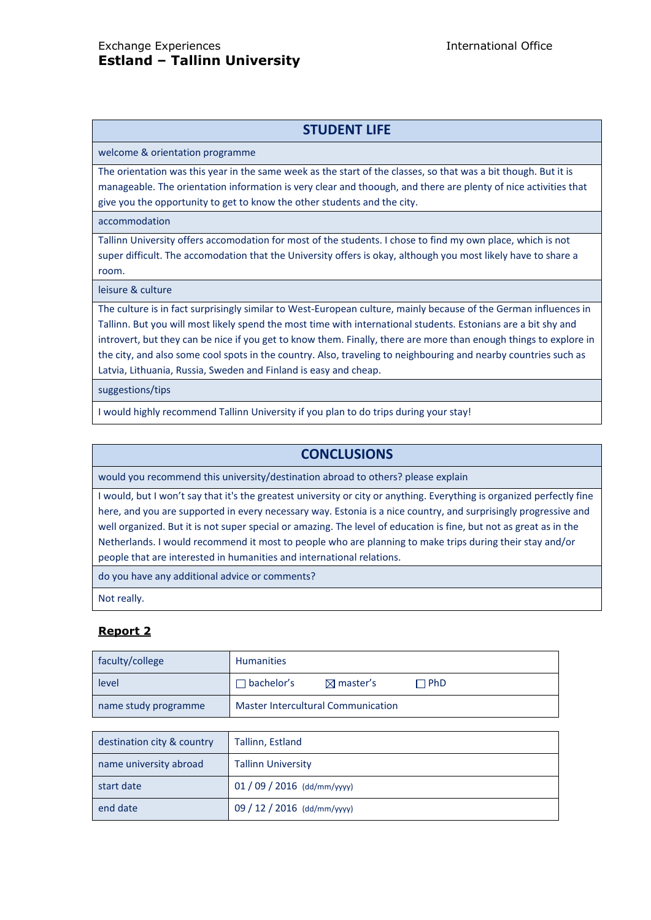# **STUDENT LIFE**

welcome & orientation programme

The orientation was this year in the same week as the start of the classes, so that was a bit though. But it is manageable. The orientation information is very clear and thoough, and there are plenty of nice activities that give you the opportunity to get to know the other students and the city.

accommodation

Tallinn University offers accomodation for most of the students. I chose to find my own place, which is not super difficult. The accomodation that the University offers is okay, although you most likely have to share a room.

leisure & culture

The culture is in fact surprisingly similar to West-European culture, mainly because of the German influences in Tallinn. But you will most likely spend the most time with international students. Estonians are a bit shy and introvert, but they can be nice if you get to know them. Finally, there are more than enough things to explore in the city, and also some cool spots in the country. Also, traveling to neighbouring and nearby countries such as Latvia, Lithuania, Russia, Sweden and Finland is easy and cheap.

suggestions/tips

I would highly recommend Tallinn University if you plan to do trips during your stay!

## **CONCLUSIONS**

would you recommend this university/destination abroad to others? please explain

I would, but I won't say that it's the greatest university or city or anything. Everything is organized perfectly fine here, and you are supported in every necessary way. Estonia is a nice country, and surprisingly progressive and well organized. But it is not super special or amazing. The level of education is fine, but not as great as in the Netherlands. I would recommend it most to people who are planning to make trips during their stay and/or people that are interested in humanities and international relations.

do you have any additional advice or comments?

Not really.

# **Report 2**

| faculty/college      | <b>Humanities</b>                         |                      |       |
|----------------------|-------------------------------------------|----------------------|-------|
| level                | $\Box$ bachelor's                         | $\boxtimes$ master's | ∩ PhD |
| name study programme | <b>Master Intercultural Communication</b> |                      |       |

| destination city & country | Tallinn, Estland            |
|----------------------------|-----------------------------|
| name university abroad     | <b>Tallinn University</b>   |
| start date                 | $01/09/2016$ (dd/mm/yyyy)   |
| end date                   | 09 / 12 / 2016 (dd/mm/yyyy) |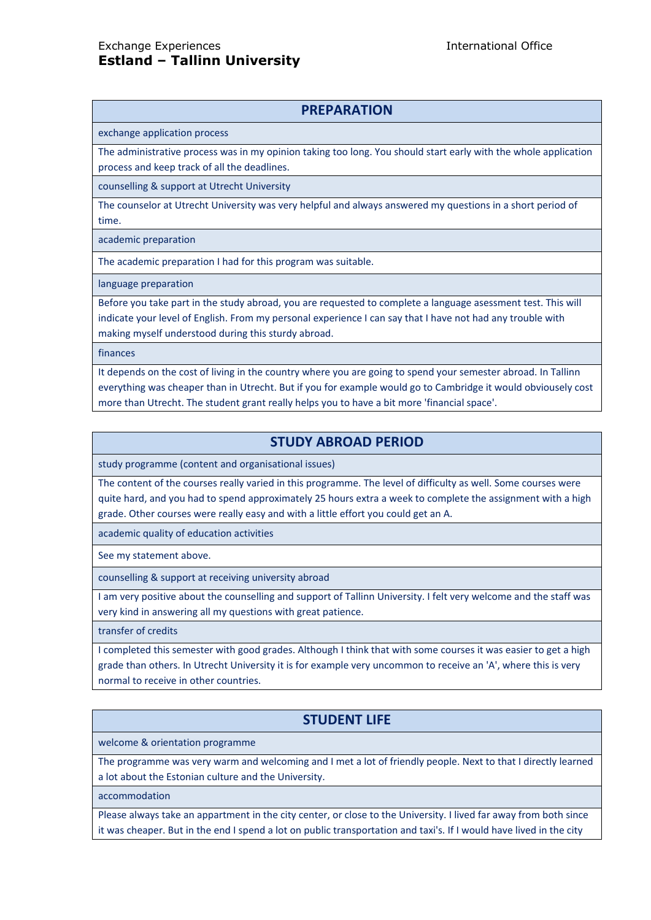# **PREPARATION**

exchange application process

The administrative process was in my opinion taking too long. You should start early with the whole application process and keep track of all the deadlines.

counselling & support at Utrecht University

The counselor at Utrecht University was very helpful and always answered my questions in a short period of time.

academic preparation

The academic preparation I had for this program was suitable.

language preparation

Before you take part in the study abroad, you are requested to complete a language asessment test. This will indicate your level of English. From my personal experience I can say that I have not had any trouble with making myself understood during this sturdy abroad.

finances

It depends on the cost of living in the country where you are going to spend your semester abroad. In Tallinn everything was cheaper than in Utrecht. But if you for example would go to Cambridge it would obviousely cost more than Utrecht. The student grant really helps you to have a bit more 'financial space'.

# **STUDY ABROAD PERIOD**

study programme (content and organisational issues)

The content of the courses really varied in this programme. The level of difficulty as well. Some courses were quite hard, and you had to spend approximately 25 hours extra a week to complete the assignment with a high grade. Other courses were really easy and with a little effort you could get an A.

academic quality of education activities

See my statement above.

counselling & support at receiving university abroad

I am very positive about the counselling and support of Tallinn University. I felt very welcome and the staff was very kind in answering all my questions with great patience.

transfer of credits

I completed this semester with good grades. Although I think that with some courses it was easier to get a high grade than others. In Utrecht University it is for example very uncommon to receive an 'A', where this is very normal to receive in other countries.

# **STUDENT LIFE**

welcome & orientation programme

The programme was very warm and welcoming and I met a lot of friendly people. Next to that I directly learned a lot about the Estonian culture and the University.

accommodation

Please always take an appartment in the city center, or close to the University. I lived far away from both since it was cheaper. But in the end I spend a lot on public transportation and taxi's. If I would have lived in the city